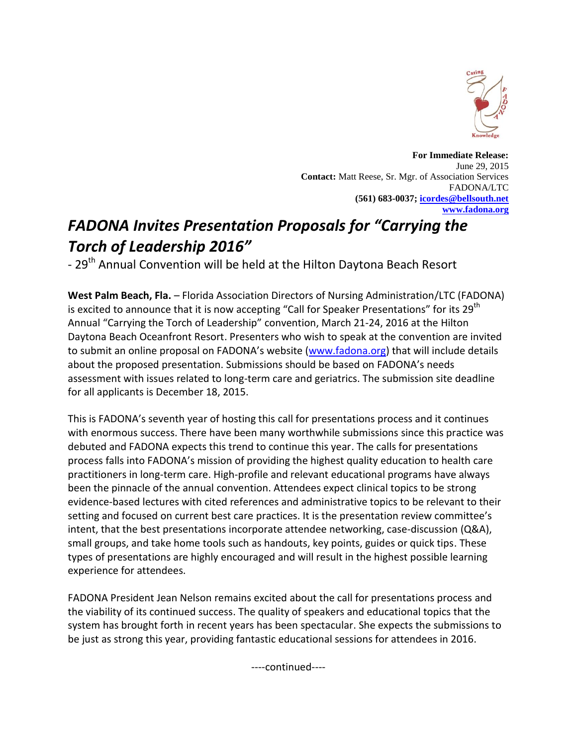

**For Immediate Release:** June 29, 2015 **Contact:** Matt Reese, Sr. Mgr. of Association Services FADONA/LTC **(561) 683-0037[; icordes@bellsouth.net](mailto:icordes@bellsouth.net) [www.fadona.org](http://www.fadona.org/)**

## *FADONA Invites Presentation Proposals for "Carrying the Torch of Leadership 2016"*

- 29<sup>th</sup> Annual Convention will be held at the Hilton Daytona Beach Resort

**West Palm Beach, Fla.** – Florida Association Directors of Nursing Administration/LTC (FADONA) is excited to announce that it is now accepting "Call for Speaker Presentations" for its 29<sup>th</sup> Annual "Carrying the Torch of Leadership" convention, March 21-24, 2016 at the Hilton Daytona Beach Oceanfront Resort. Presenters who wish to speak at the convention are invited to submit an online proposal on FADONA's website ([www.fadona.org\)](http://www.fadona.org/) that will include details about the proposed presentation. Submissions should be based on FADONA's needs assessment with issues related to long-term care and geriatrics. The submission site deadline for all applicants is December 18, 2015.

This is FADONA's seventh year of hosting this call for presentations process and it continues with enormous success. There have been many worthwhile submissions since this practice was debuted and FADONA expects this trend to continue this year. The calls for presentations process falls into FADONA's mission of providing the highest quality education to health care practitioners in long-term care. High-profile and relevant educational programs have always been the pinnacle of the annual convention. Attendees expect clinical topics to be strong evidence-based lectures with cited references and administrative topics to be relevant to their setting and focused on current best care practices. It is the presentation review committee's intent, that the best presentations incorporate attendee networking, case-discussion (Q&A), small groups, and take home tools such as handouts, key points, guides or quick tips. These types of presentations are highly encouraged and will result in the highest possible learning experience for attendees.

FADONA President Jean Nelson remains excited about the call for presentations process and the viability of its continued success. The quality of speakers and educational topics that the system has brought forth in recent years has been spectacular. She expects the submissions to be just as strong this year, providing fantastic educational sessions for attendees in 2016.

----continued----